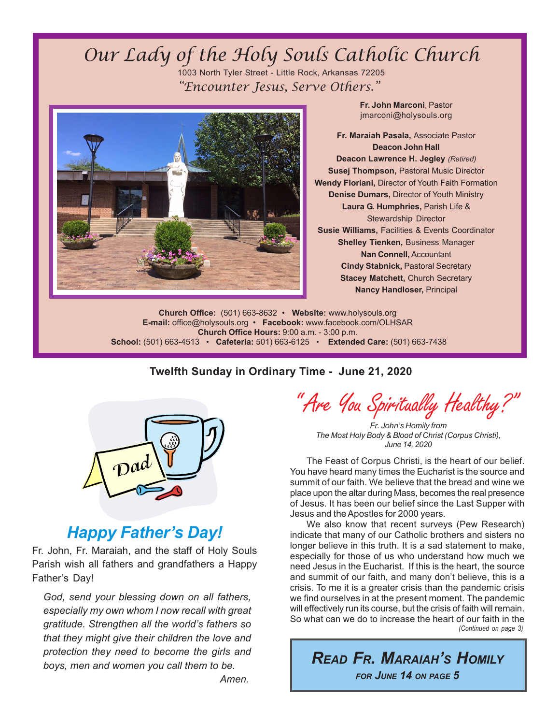# Our Lady of the Holy Souls Catholic Church 1003 North Tyler Street - Little Rock, Arkansas 72205 "Encounter Jesus, Serve Others."



**Fr. John Marconi**, Pastor jmarconi@holysouls.org

**Fr. Maraiah Pasala,** Associate Pastor **Deacon John Hall Deacon Lawrence H. Jegley** *(Retired)* **Susej Thompson,** Pastoral Music Director **Wendy Floriani,** Director of Youth Faith Formation **Denise Dumars,** Director of Youth Ministry **Laura G. Humphries,** Parish Life & Stewardship Director **Susie Williams,** Facilities & Events Coordinator **Shelley Tienken,** Business Manager **Nan Connell,** Accountant **Cindy Stabnick,** Pastoral Secretary **Stacey Matchett, Church Secretary Nancy Handloser,** Principal

**Church Office:** (501) 663-8632 • **Website:** www.holysouls.org **E-mail:** office@holysouls.org • **Facebook:** www.facebook.com/OLHSAR **Church Office Hours:** 9:00 a.m. - 3:00 p.m.  **School:** (501) 663-4513 • **Cafeteria:** 501) 663-6125 • **Extended Care:** (501) 663-7438

#### **Twelfth Sunday in Ordinary Time - June 21, 2020**



# *Happy Father's Day!*

Fr. John, Fr. Maraiah, and the staff of Holy Souls Parish wish all fathers and grandfathers a Happy Father's Day!

*God, send your blessing down on all fathers, especially my own whom I now recall with great gratitude. Strengthen all the world's fathers so that they might give their children the love and protection they need to become the girls and boys, men and women you call them to be. Amen.*

" Are You Spiritually Healthy?"

*Fr. John's Homily from The Most Holy Body & Blood of Christ (Corpus Christi), June 14, 2020*

The Feast of Corpus Christi, is the heart of our belief. You have heard many times the Eucharist is the source and summit of our faith. We believe that the bread and wine we place upon the altar during Mass, becomes the real presence of Jesus. It has been our belief since the Last Supper with Jesus and the Apostles for 2000 years.

*(Continued on page 3)* We also know that recent surveys (Pew Research) indicate that many of our Catholic brothers and sisters no longer believe in this truth. It is a sad statement to make, especially for those of us who understand how much we need Jesus in the Eucharist. If this is the heart, the source and summit of our faith, and many don't believe, this is a crisis. To me it is a greater crisis than the pandemic crisis we find ourselves in at the present moment. The pandemic will effectively run its course, but the crisis of faith will remain. So what can we do to increase the heart of our faith in the

*READ FR. MARAIAH'S HOMILY FOR JUNE 14 ON PAGE 5*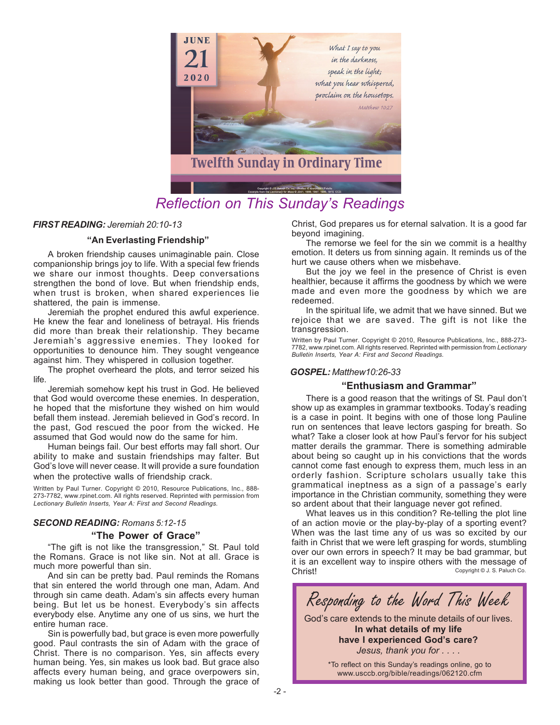

# *Reflection on This Sunday's Readings*

#### *FIRST READING: Jeremiah 20:10-13*

#### **"An Everlasting Friendship"**

A broken friendship causes unimaginable pain. Close companionship brings joy to life. With a special few friends we share our inmost thoughts. Deep conversations strengthen the bond of love. But when friendship ends, when trust is broken, when shared experiences lie shattered, the pain is immense.

Jeremiah the prophet endured this awful experience. He knew the fear and loneliness of betrayal. His friends did more than break their relationship. They became Jeremiah's aggressive enemies. They looked for opportunities to denounce him. They sought vengeance against him. They whispered in collusion together.

The prophet overheard the plots, and terror seized his life.

Jeremiah somehow kept his trust in God. He believed that God would overcome these enemies. In desperation, he hoped that the misfortune they wished on him would befall them instead. Jeremiah believed in God's record. In the past, God rescued the poor from the wicked. He assumed that God would now do the same for him.

Human beings fail. Our best efforts may fall short. Our ability to make and sustain friendships may falter. But God's love will never cease. It will provide a sure foundation when the protective walls of friendship crack.

Written by Paul Turner. Copyright © 2010, Resource Publications, Inc., 888- 273-7782, www.rpinet.com. All rights reserved. Reprinted with permission from *Lectionary Bulletin Inserts, Year A: First and Second Readings.*

#### *SECOND READING: Romans 5:12-15*

#### **"The Power of Grace"**

"The gift is not like the transgression," St. Paul told the Romans. Grace is not like sin. Not at all. Grace is much more powerful than sin.

And sin can be pretty bad. Paul reminds the Romans that sin entered the world through one man, Adam. And through sin came death. Adam's sin affects every human being. But let us be honest. Everybody's sin affects everybody else. Anytime any one of us sins, we hurt the entire human race.

Sin is powerfully bad, but grace is even more powerfully good. Paul contrasts the sin of Adam with the grace of Christ. There is no comparison. Yes, sin affects every human being. Yes, sin makes us look bad. But grace also affects every human being, and grace overpowers sin, making us look better than good. Through the grace of

Christ, God prepares us for eternal salvation. It is a good far beyond imagining.

The remorse we feel for the sin we commit is a healthy emotion. It deters us from sinning again. It reminds us of the hurt we cause others when we misbehave.

But the joy we feel in the presence of Christ is even healthier, because it affirms the goodness by which we were made and even more the goodness by which we are redeemed.

In the spiritual life, we admit that we have sinned. But we rejoice that we are saved. The gift is not like the transgression.

Written by Paul Turner. Copyright © 2010, Resource Publications, Inc., 888-273- 7782, www.rpinet.com. All rights reserved. Reprinted with permission from *Lectionary Bulletin Inserts, Year A: First and Second Readings.*

#### *GOSPEL: Matthew10:26-33*

#### **"Enthusiasm and Grammar"**

There is a good reason that the writings of St. Paul don't show up as examples in grammar textbooks. Today's reading is a case in point. It begins with one of those long Pauline run on sentences that leave lectors gasping for breath. So what? Take a closer look at how Paul's fervor for his subject matter derails the grammar. There is something admirable about being so caught up in his convictions that the words cannot come fast enough to express them, much less in an orderly fashion. Scripture scholars usually take this grammatical ineptness as a sign of a passage's early importance in the Christian community, something they were so ardent about that their language never got refined.

 Copyright © J. S. Paluch Co. What leaves us in this condition? Re-telling the plot line of an action movie or the play-by-play of a sporting event? When was the last time any of us was so excited by our faith in Christ that we were left grasping for words, stumbling over our own errors in speech? It may be bad grammar, but it is an excellent way to inspire others with the message of Christ!



**In what details of my life have I experienced God's care?** *Jesus, thank you for . . . .*

> \*To reflect on this Sunday's readings online, go to www.usccb.org/bible/readings/062120.cfm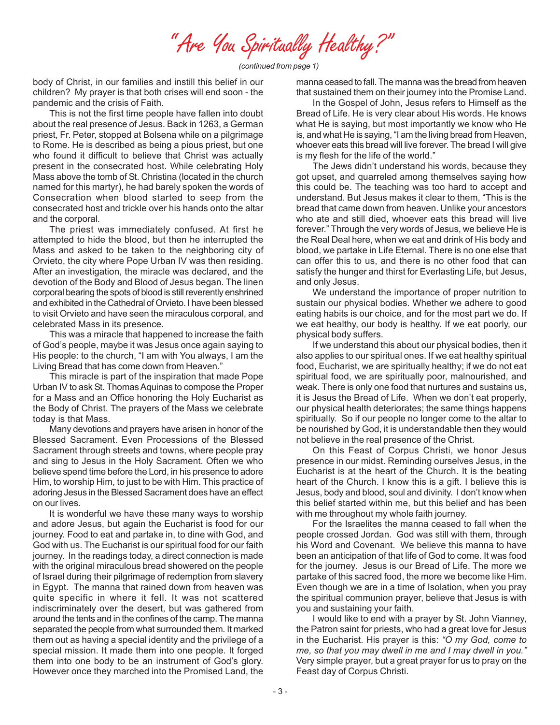" Are You Spiritually Healthy?"

*(continued from page 1)*

body of Christ, in our families and instill this belief in our children? My prayer is that both crises will end soon - the pandemic and the crisis of Faith.

This is not the first time people have fallen into doubt about the real presence of Jesus. Back in 1263, a German priest, Fr. Peter, stopped at Bolsena while on a pilgrimage to Rome. He is described as being a pious priest, but one who found it difficult to believe that Christ was actually present in the consecrated host. While celebrating Holy Mass above the tomb of St. Christina (located in the church named for this martyr), he had barely spoken the words of Consecration when blood started to seep from the consecrated host and trickle over his hands onto the altar and the corporal.

The priest was immediately confused. At first he attempted to hide the blood, but then he interrupted the Mass and asked to be taken to the neighboring city of Orvieto, the city where Pope Urban IV was then residing. After an investigation, the miracle was declared, and the devotion of the Body and Blood of Jesus began. The linen corporal bearing the spots of blood is still reverently enshrined and exhibited in the Cathedral of Orvieto. I have been blessed to visit Orvieto and have seen the miraculous corporal, and celebrated Mass in its presence.

This was a miracle that happened to increase the faith of God's people, maybe it was Jesus once again saying to His people: to the church, "I am with You always, I am the Living Bread that has come down from Heaven."

This miracle is part of the inspiration that made Pope Urban IV to ask St. Thomas Aquinas to compose the Proper for a Mass and an Office honoring the Holy Eucharist as the Body of Christ. The prayers of the Mass we celebrate today is that Mass.

Many devotions and prayers have arisen in honor of the Blessed Sacrament. Even Processions of the Blessed Sacrament through streets and towns, where people pray and sing to Jesus in the Holy Sacrament. Often we who believe spend time before the Lord, in his presence to adore Him, to worship Him, to just to be with Him. This practice of adoring Jesus in the Blessed Sacrament does have an effect on our lives.

It is wonderful we have these many ways to worship and adore Jesus, but again the Eucharist is food for our journey. Food to eat and partake in, to dine with God, and God with us. The Eucharist is our spiritual food for our faith journey. In the readings today, a direct connection is made with the original miraculous bread showered on the people of Israel during their pilgrimage of redemption from slavery in Egypt. The manna that rained down from heaven was quite specific in where it fell. It was not scattered indiscriminately over the desert, but was gathered from around the tents and in the confines of the camp. The manna separated the people from what surrounded them. It marked them out as having a special identity and the privilege of a special mission. It made them into one people. It forged them into one body to be an instrument of God's glory. However once they marched into the Promised Land, the

manna ceased to fall. The manna was the bread from heaven that sustained them on their journey into the Promise Land.

In the Gospel of John, Jesus refers to Himself as the Bread of Life. He is very clear about His words. He knows what He is saying, but most importantly we know who He is, and what He is saying, "I am the living bread from Heaven, whoever eats this bread will live forever. The bread I will give is my flesh for the life of the world."

The Jews didn't understand his words, because they got upset, and quarreled among themselves saying how this could be. The teaching was too hard to accept and understand. But Jesus makes it clear to them, "This is the bread that came down from heaven. Unlike your ancestors who ate and still died, whoever eats this bread will live forever." Through the very words of Jesus, we believe He is the Real Deal here, when we eat and drink of His body and blood, we partake in Life Eternal. There is no one else that can offer this to us, and there is no other food that can satisfy the hunger and thirst for Everlasting Life, but Jesus, and only Jesus.

We understand the importance of proper nutrition to sustain our physical bodies. Whether we adhere to good eating habits is our choice, and for the most part we do. If we eat healthy, our body is healthy. If we eat poorly, our physical body suffers.

If we understand this about our physical bodies, then it also applies to our spiritual ones. If we eat healthy spiritual food, Eucharist, we are spiritually healthy; if we do not eat spiritual food, we are spiritually poor, malnourished, and weak. There is only one food that nurtures and sustains us, it is Jesus the Bread of Life. When we don't eat properly, our physical health deteriorates; the same things happens spiritually. So if our people no longer come to the altar to be nourished by God, it is understandable then they would not believe in the real presence of the Christ.

On this Feast of Corpus Christi, we honor Jesus presence in our midst. Reminding ourselves Jesus, in the Eucharist is at the heart of the Church. It is the beating heart of the Church. I know this is a gift. I believe this is Jesus, body and blood, soul and divinity. I don't know when this belief started within me, but this belief and has been with me throughout my whole faith journey.

For the Israelites the manna ceased to fall when the people crossed Jordan. God was still with them, through his Word and Covenant. We believe this manna to have been an anticipation of that life of God to come. It was food for the journey. Jesus is our Bread of Life. The more we partake of this sacred food, the more we become like Him. Even though we are in a time of Isolation, when you pray the spiritual communion prayer, believe that Jesus is with you and sustaining your faith.

I would like to end with a prayer by St. John Vianney, the Patron saint for priests, who had a great love for Jesus in the Eucharist. His prayer is this: *"O my God, come to me, so that you may dwell in me and I may dwell in you."* Very simple prayer, but a great prayer for us to pray on the Feast day of Corpus Christi.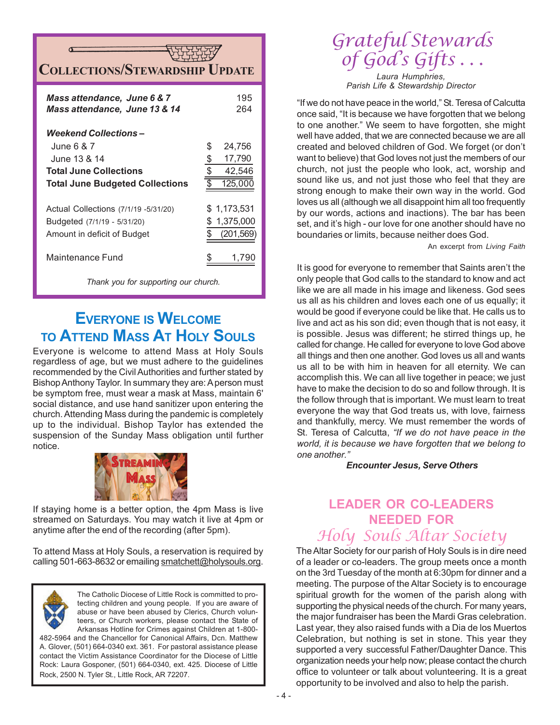# **COLLECTIONS/STEWARDSHIP**

| Mass attendance, June 6 & 7<br>Mass attendance, June 13 & 14                                                                   | 195<br>264                                                  |
|--------------------------------------------------------------------------------------------------------------------------------|-------------------------------------------------------------|
| Weekend Collections –<br>June 6 & 7<br>June 13 & 14<br><b>Total June Collections</b><br><b>Total June Budgeted Collections</b> | S<br>24,756<br>17,790<br>\$<br>\$<br>42,546<br>\$<br>125,00 |
| Actual Collections (7/1/19 - 5/31/20)<br>Budgeted (7/1/19 - 5/31/20)<br>Amount in deficit of Budget<br>Maintenance Fund        | \$1,173,531<br>1,375,000<br>\$<br>(201, 569)<br>1,79        |

*Thank you for supporting our church.*

# **EVERYONE IS WELCOME TO ATTEND MASS AT HOLY SOULS**

Everyone is welcome to attend Mass at Holy Souls regardless of age, but we must adhere to the guidelines recommended by the Civil Authorities and further stated by Bishop Anthony Taylor. In summary they are: A person must be symptom free, must wear a mask at Mass, maintain 6' social distance, and use hand sanitizer upon entering the church. Attending Mass during the pandemic is completely up to the individual. Bishop Taylor has extended the suspension of the Sunday Mass obligation until further notice.



If staying home is a better option, the 4pm Mass is live streamed on Saturdays. You may watch it live at 4pm or anytime after the end of the recording (after 5pm).

To attend Mass at Holy Souls, a reservation is required by calling 501-663-8632 or emailing smatchett@holysouls.org.



The Catholic Diocese of Little Rock is committed to protecting children and young people. If you are aware of abuse or have been abused by Clerics, Church volunteers, or Church workers, please contact the State of Arkansas Hotline for Crimes against Children at 1-800- 482-5964 and the Chancellor for Canonical Affairs, Dcn. Matthew

A. Glover, (501) 664-0340 ext. 361. For pastoral assistance please contact the Victim Assistance Coordinator for the Diocese of Little Rock: Laura Gosponer, (501) 664-0340, ext. 425. Diocese of Little Rock, 2500 N. Tyler St., Little Rock, AR 72207.

# Grateful Stewards of God's Gifts

*Laura Humphries, Parish Life & Stewardship Director*

"If we do not have peace in the world," St. Teresa of Calcutta once said, "It is because we have forgotten that we belong to one another." We seem to have forgotten, she might well have added, that we are connected because we are all created and beloved children of God. We forget (or don't want to believe) that God loves not just the members of our church, not just the people who look, act, worship and sound like us, and not just those who feel that they are strong enough to make their own way in the world. God loves us all (although we all disappoint him all too frequently by our words, actions and inactions). The bar has been set, and it's high - our love for one another should have no boundaries or limits, because neither does God.

An excerpt from *Living Faith*

It is good for everyone to remember that Saints aren't the only people that God calls to the standard to know and act like we are all made in his image and likeness. God sees us all as his children and loves each one of us equally; it would be good if everyone could be like that. He calls us to live and act as his son did; even though that is not easy, it is possible. Jesus was different; he stirred things up, he called for change. He called for everyone to love God above all things and then one another. God loves us all and wants us all to be with him in heaven for all eternity. We can accomplish this. We can all live together in peace; we just have to make the decision to do so and follow through. It is the follow through that is important. We must learn to treat everyone the way that God treats us, with love, fairness and thankfully, mercy. We must remember the words of St. Teresa of Calcutta, *"If we do not have peace in the world, it is because we have forgotten that we belong to one another."*

#### *Encounter Jesus, Serve Others*

# **LEADER OR CO-LEADERS NEEDED FOR** Holy Souls Altar Society

The Altar Society for our parish of Holy Souls is in dire need of a leader or co-leaders. The group meets once a month on the 3rd Tuesday of the month at 6:30pm for dinner and a meeting. The purpose of the Altar Society is to encourage spiritual growth for the women of the parish along with supporting the physical needs of the church. For many years, the major fundraiser has been the Mardi Gras celebration. Last year, they also raised funds with a Dia de los Muertos Celebration, but nothing is set in stone. This year they supported a very successful Father/Daughter Dance. This organization needs your help now; please contact the church office to volunteer or talk about volunteering. It is a great opportunity to be involved and also to help the parish.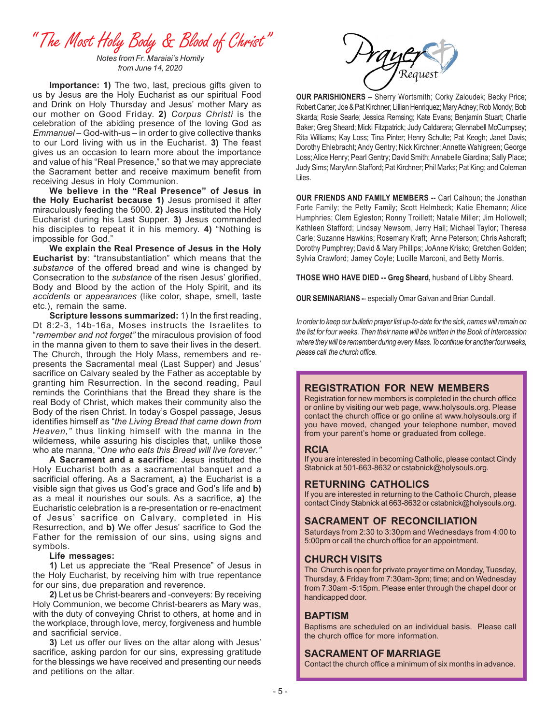" The Most Holy Body & Blood of Christ"

*Notes from Fr. Maraiai's Homily from June 14, 2020*

**Importance: 1)** The two, last, precious gifts given to us by Jesus are the Holy Eucharist as our spiritual Food and Drink on Holy Thursday and Jesus' mother Mary as our mother on Good Friday. **2)** *Corpus Christi* is the celebration of the abiding presence of the loving God as *Emmanuel* – God-with-us – in order to give collective thanks to our Lord living with us in the Eucharist. **3)** The feast gives us an occasion to learn more about the importance and value of his "Real Presence," so that we may appreciate the Sacrament better and receive maximum benefit from receiving Jesus in Holy Communion.

**We believe in the "Real Presence" of Jesus in the Holy Eucharist because 1)** Jesus promised it after miraculously feeding the 5000. **2)** Jesus instituted the Holy Eucharist during his Last Supper. **3)** Jesus commanded his disciples to repeat it in his memory. **4)** "Nothing is impossible for God."

**We explain the Real Presence of Jesus in the Holy Eucharist by**: "transubstantiation" which means that the *substance* of the offered bread and wine is changed by Consecration to the *substance* of the risen Jesus' glorified, Body and Blood by the action of the Holy Spirit, and its *accidents* or *appearances* (like color, shape, smell, taste etc.), remain the same.

**Scripture lessons summarized:** 1) In the first reading, Dt 8:2-3, 14b-16a, Moses instructs the Israelites to "*remember and not forget"* the miraculous provision of food in the manna given to them to save their lives in the desert. The Church, through the Holy Mass, remembers and represents the Sacramental meal (Last Supper) and Jesus' sacrifice on Calvary sealed by the Father as acceptable by granting him Resurrection. In the second reading, Paul reminds the Corinthians that the Bread they share is the real Body of Christ, which makes their community also the Body of the risen Christ. In today's Gospel passage, Jesus identifies himself as "*the Living Bread that came down from Heaven,"* thus linking himself with the manna in the wilderness, while assuring his disciples that, unlike those who ate manna, "*One who eats this Bread will live forever."*

**A Sacrament and a sacrifice**: Jesus instituted the Holy Eucharist both as a sacramental banquet and a sacrificial offering. As a Sacrament, **a**) the Eucharist is a visible sign that gives us God's grace and God's life and **b)** as a meal it nourishes our souls. As a sacrifice, **a)** the Eucharistic celebration is a re-presentation or re-enactment of Jesus' sacrifice on Calvary, completed in His Resurrection, and **b)** We offer Jesus' sacrifice to God the Father for the remission of our sins, using signs and symbols.

#### **Life messages:**

**1)** Let us appreciate the "Real Presence" of Jesus in the Holy Eucharist, by receiving him with true repentance for our sins, due preparation and reverence.

**2)** Let us be Christ-bearers and -conveyers: By receiving Holy Communion, we become Christ-bearers as Mary was, with the duty of conveying Christ to others, at home and in the workplace, through love, mercy, forgiveness and humble and sacrificial service.

**3)** Let us offer our lives on the altar along with Jesus' sacrifice, asking pardon for our sins, expressing gratitude for the blessings we have received and presenting our needs and petitions on the altar.



**OUR PARISHIONERS** -- Sherry Wortsmith; Corky Zaloudek; Becky Price; Robert Carter; Joe & Pat Kirchner; Lillian Henriquez; Mary Adney; Rob Mondy; Bob Skarda; Rosie Searle; Jessica Remsing; Kate Evans; Benjamin Stuart; Charlie Baker; Greg Sheard; Micki Fitzpatrick; Judy Caldarera; Glennabell McCumpsey; Rita Williams; Kay Loss; Tina Pinter; Henry Schulte; Pat Keogh; Janet Davis; Dorothy Ehlebracht; Andy Gentry; Nick Kirchner; Annette Wahlgreen; George Loss; Alice Henry; Pearl Gentry; David Smith; Annabelle Giardina; Sally Place; Judy Sims; MaryAnn Stafford; Pat Kirchner; Phil Marks; Pat King; and Coleman Liles.

**OUR FRIENDS AND FAMILY MEMBERS --** Carl Calhoun; the Jonathan Forte Family; the Petty Family; Scott Helmbeck; Katie Ehemann; Alice Humphries; Clem Egleston; Ronny Troillett; Natalie Miller; Jim Hollowell; Kathleen Stafford; Lindsay Newsom, Jerry Hall; Michael Taylor; Theresa Carle; Suzanne Hawkins; Rosemary Kraft; Anne Peterson; Chris Ashcraft; Dorothy Pumphrey; David & Mary Phillips; JoAnne Krisko; Gretchen Golden; Sylvia Crawford; Jamey Coyle; Lucille Marconi, and Betty Morris.

**THOSE WHO HAVE DIED -- Greg Sheard,** husband of Libby Sheard.

**OUR SEMINARIANS -**- especially Omar Galvan and Brian Cundall.

*In order to keep our bulletin prayer list up-to-date for the sick, names will remain on the list for four weeks. Then their name will be written in the Book of Intercession where they will be remember during every Mass. To continue for another four weeks, please call the church office.*

#### **REGISTRATION FOR NEW MEMBERS**

Registration for new members is completed in the church office or online by visiting our web page, www.holysouls.org. Please contact the church office or go online at www.holysouls.org if you have moved, changed your telephone number, moved from your parent's home or graduated from college.

#### **RCIA**

If you are interested in becoming Catholic, please contact Cindy Stabnick at 501-663-8632 or cstabnick@holysouls.org.

#### **RETURNING CATHOLICS**

If you are interested in returning to the Catholic Church, please contact Cindy Stabnick at 663-8632 or cstabnick@holysouls.org.

#### **SACRAMENT OF RECONCILIATION**

Saturdays from 2:30 to 3:30pm and Wednesdays from 4:00 to 5:00pm or call the church office for an appointment.

#### **CHURCH VISITS**

The Church is open for private prayer time on Monday, Tuesday, Thursday, & Friday from 7:30am-3pm; time; and on Wednesday from 7:30am -5:15pm. Please enter through the chapel door or handicapped door.

#### **BAPTISM**

Baptisms are scheduled on an individual basis. Please call the church office for more information.

#### **SACRAMENT OF MARRIAGE**

Contact the church office a minimum of six months in advance.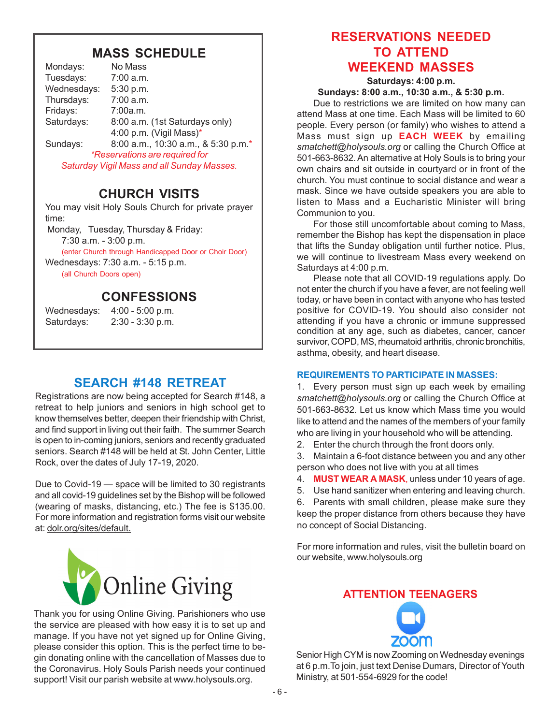## **MASS SCHEDULE**

| Mondays:    | No Mass                                    |
|-------------|--------------------------------------------|
| Tuesdays:   | 7:00 a.m.                                  |
| Wednesdays: | 5:30 p.m.                                  |
| Thursdays:  | 7:00 a.m.                                  |
| Fridays:    | 7:00a.m.                                   |
| Saturdays:  | 8:00 a.m. (1st Saturdays only)             |
|             | 4:00 p.m. (Vigil Mass)*                    |
| Sundays:    | 8:00 a.m., 10:30 a.m., & 5:30 p.m.*        |
|             | <i>*Reservations are required for</i>      |
|             | Saturday Vigil Mass and all Sunday Masses. |

# **CHURCH VISITS**

You may visit Holy Souls Church for private prayer time:

Monday, Tuesday, Thursday & Friday:

7:30 a.m. - 3:00 p.m.

(enter Church through Handicapped Door or Choir Door)

Wednesdays: 7:30 a.m. - 5:15 p.m.

(all Church Doors open)

# **CONFESSIONS**

Wednesdays: 4:00 - 5:00 p.m. Saturdays: 2:30 - 3:30 p.m.

# **SEARCH #148 RETREAT**

Registrations are now being accepted for Search #148, a retreat to help juniors and seniors in high school get to know themselves better, deepen their friendship with Christ, and find support in living out their faith. The summer Search is open to in-coming juniors, seniors and recently graduated seniors. Search #148 will be held at St. John Center, Little Rock, over the dates of July 17-19, 2020.

Due to Covid-19 — space will be limited to 30 registrants and all covid-19 guidelines set by the Bishop will be followed (wearing of masks, distancing, etc.) The fee is \$135.00. For more information and registration forms visit our website at: dolr.org/sites/default.



Thank you for using Online Giving. Parishioners who use the service are pleased with how easy it is to set up and manage. If you have not yet signed up for Online Giving, please consider this option. This is the perfect time to begin donating online with the cancellation of Masses due to the Coronavirus. Holy Souls Parish needs your continued support! Visit our parish website at www.holysouls.org.

# **RESERVATIONS NEEDED TO ATTEND WEEKEND MASSES**

**Saturdays: 4:00 p.m. Sundays: 8:00 a.m., 10:30 a.m., & 5:30 p.m.**

Due to restrictions we are limited on how many can attend Mass at one time. Each Mass will be limited to 60 people. Every person (or family) who wishes to attend a Mass must sign up **EACH WEEK** by emailing *smatchett@holysouls.org* or calling the Church Office at 501-663-8632. An alternative at Holy Souls is to bring your own chairs and sit outside in courtyard or in front of the church. You must continue to social distance and wear a mask. Since we have outside speakers you are able to listen to Mass and a Eucharistic Minister will bring Communion to you.

For those still uncomfortable about coming to Mass, remember the Bishop has kept the dispensation in place that lifts the Sunday obligation until further notice. Plus, we will continue to livestream Mass every weekend on Saturdays at 4:00 p.m.

Please note that all COVID-19 regulations apply. Do not enter the church if you have a fever, are not feeling well today, or have been in contact with anyone who has tested positive for COVID-19. You should also consider not attending if you have a chronic or immune suppressed condition at any age, such as diabetes, cancer, cancer survivor, COPD, MS, rheumatoid arthritis, chronic bronchitis, asthma, obesity, and heart disease.

#### **REQUIREMENTS TO PARTICIPATE IN MASSES:**

1. Every person must sign up each week by emailing *smatchett@holysouls.org* or calling the Church Office at 501-663-8632. Let us know which Mass time you would like to attend and the names of the members of your family who are living in your household who will be attending.

2. Enter the church through the front doors only.

3. Maintain a 6-foot distance between you and any other person who does not live with you at all times

- 4. **MUST WEAR A MASK**, unless under 10 years of age.
- 5. Use hand sanitizer when entering and leaving church.

6. Parents with small children, please make sure they keep the proper distance from others because they have no concept of Social Distancing.

For more information and rules, visit the bulletin board on our website, www.holysouls.org

### **ATTENTION TEENAGERS**



Senior High CYM is now Zooming on Wednesday evenings at 6 p.m.To join, just text Denise Dumars, Director of Youth Ministry, at 501-554-6929 for the code!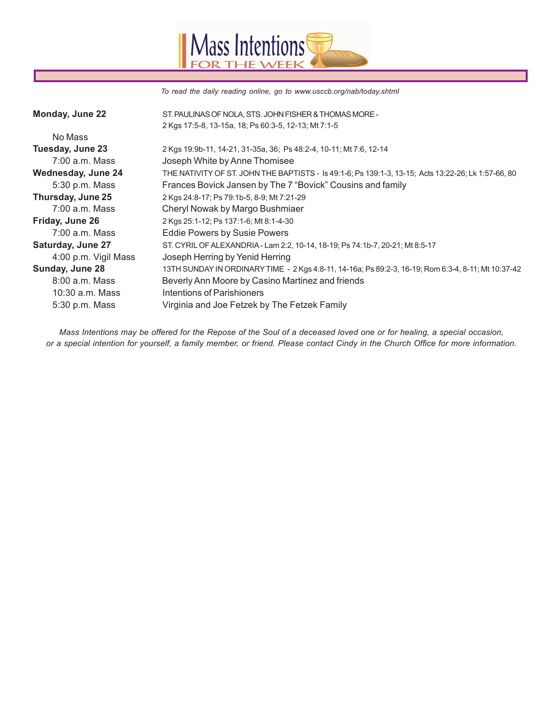

*To read the daily reading online, go to www.usccb.org/nab/today.shtml*

| Monday, June 22          | ST. PAULINAS OF NOLA, STS. JOHN FISHER & THOMAS MORE -                                              |
|--------------------------|-----------------------------------------------------------------------------------------------------|
|                          | 2 Kgs 17:5-8, 13-15a, 18, Ps 60:3-5, 12-13, Mt 7:1-5                                                |
| No Mass                  |                                                                                                     |
| Tuesday, June 23         | 2 Kgs 19:9b-11, 14-21, 31-35a, 36; Ps 48:2-4, 10-11; Mt 7:6, 12-14                                  |
| $7:00$ a.m. Mass         | Joseph White by Anne Thomisee                                                                       |
| Wednesday, June 24       | THE NATIVITY OF ST. JOHN THE BAPTISTS - Is 49:1-6; Ps 139:1-3, 13-15; Acts 13:22-26; Lk 1:57-66, 80 |
| 5:30 p.m. Mass           | Frances Bovick Jansen by The 7 "Bovick" Cousins and family                                          |
| Thursday, June 25        | 2 Kgs 24:8-17; Ps 79:1b-5, 8-9; Mt 7:21-29                                                          |
| $7:00$ a.m. Mass         | Cheryl Nowak by Margo Bushmiaer                                                                     |
| Friday, June 26          | 2 Kgs 25:1-12; Ps 137:1-6; Mt 8:1-4-30                                                              |
| $7:00$ a.m. Mass         | <b>Eddie Powers by Susie Powers</b>                                                                 |
| <b>Saturday, June 27</b> | ST. CYRIL OF ALEXANDRIA - Lam 2:2, 10-14, 18-19; Ps 74:1b-7, 20-21; Mt 8:5-17                       |
| 4:00 p.m. Vigil Mass     | Joseph Herring by Yenid Herring                                                                     |
| Sunday, June 28          | 13TH SUNDAY IN ORDINARY TIME - 2 Kgs 4:8-11, 14-16a; Ps 89:2-3, 16-19; Rom 6:3-4, 8-11; Mt 10:37-42 |
| 8:00 a.m. Mass           | Beverly Ann Moore by Casino Martinez and friends                                                    |
| 10:30 a.m. Mass          | Intentions of Parishioners                                                                          |
| 5:30 p.m. Mass           | Virginia and Joe Fetzek by The Fetzek Family                                                        |

*Mass Intentions may be offered for the Repose of the Soul of a deceased loved one or for healing, a special occasion, or a special intention for yourself, a family member, or friend. Please contact Cindy in the Church Office for more information.*